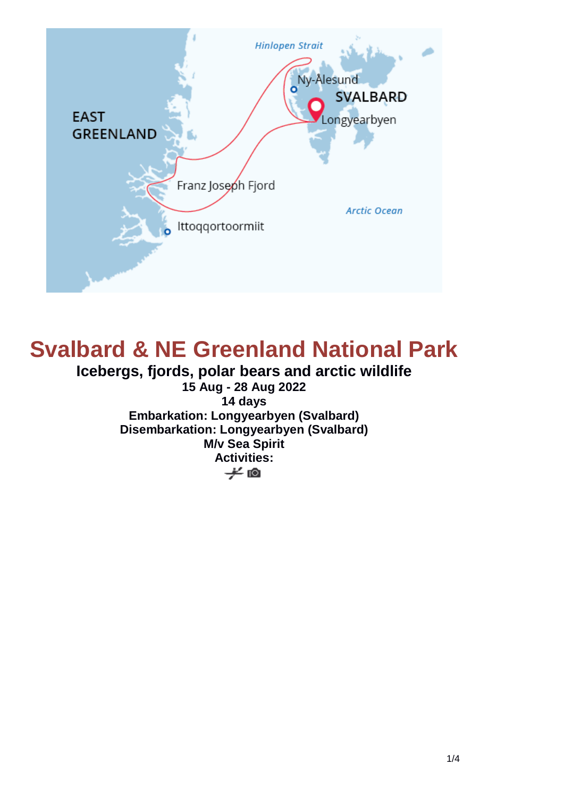

# **Svalbard & NE Greenland National Park**

**Icebergs, fjords, polar bears and arctic wildlife 15 Aug - 28 Aug 2022 14 days Embarkation: Longyearbyen (Svalbard) Disembarkation: Longyearbyen (Svalbard) M/v Sea Spirit Activities:** $\neq$  0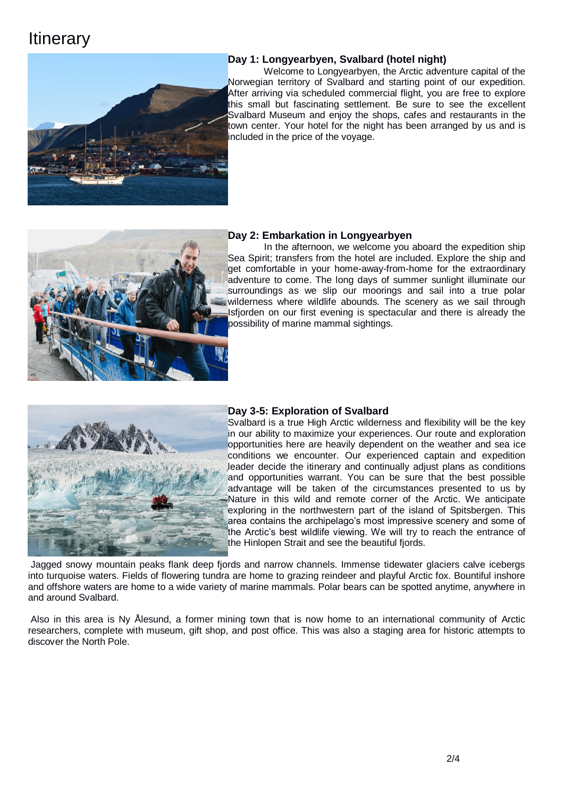## **Itinerary**



#### **Day 1: Longyearbyen, Svalbard (hotel night)**

Welcome to Longyearbyen, the Arctic adventure capital of the Norwegian territory of Svalbard and starting point of our expedition. After arriving via scheduled commercial flight, you are free to explore this small but fascinating settlement. Be sure to see the excellent Svalbard Museum and enjoy the shops, cafes and restaurants in the town center. Your hotel for the night has been arranged by us and is included in the price of the voyage.



#### **Day 2: Embarkation in Longyearbyen**

In the afternoon, we welcome you aboard the expedition ship Sea Spirit; transfers from the hotel are included. Explore the ship and get comfortable in your home-away-from-home for the extraordinary adventure to come. The long days of summer sunlight illuminate our surroundings as we slip our moorings and sail into a true polar wilderness where wildlife abounds. The scenery as we sail through Isfjorden on our first evening is spectacular and there is already the possibility of marine mammal sightings.



#### **Day 3-5: Exploration of Svalbard**

Svalbard is a true High Arctic wilderness and flexibility will be the key in our ability to maximize your experiences. Our route and exploration opportunities here are heavily dependent on the weather and sea ice conditions we encounter. Our experienced captain and expedition leader decide the itinerary and continually adjust plans as conditions and opportunities warrant. You can be sure that the best possible advantage will be taken of the circumstances presented to us by Nature in this wild and remote corner of the Arctic. We anticipate exploring in the northwestern part of the island of Spitsbergen. This area contains the archipelago's most impressive scenery and some of the Arctic's best wildlife viewing. We will try to reach the entrance of the Hinlopen Strait and see the beautiful fjords.

Jagged snowy mountain peaks flank deep fjords and narrow channels. Immense tidewater glaciers calve icebergs into turquoise waters. Fields of flowering tundra are home to grazing reindeer and playful Arctic fox. Bountiful inshore and offshore waters are home to a wide variety of marine mammals. Polar bears can be spotted anytime, anywhere in and around Svalbard.

Also in this area is Ny Ålesund, a former mining town that is now home to an international community of Arctic researchers, complete with museum, gift shop, and post office. This was also a staging area for historic attempts to discover the North Pole.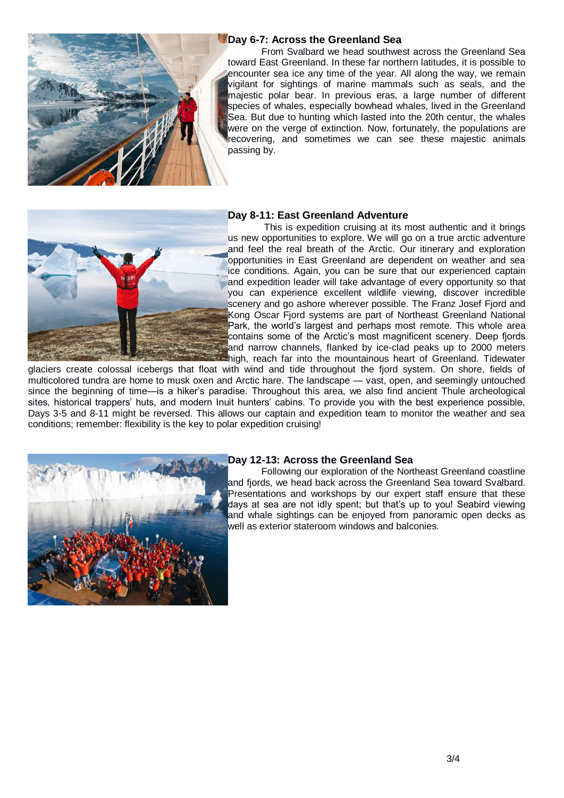

#### **Day 6-7: Across the Greenland Sea**

From Svalbard we head southwest across the Greenland Sea toward East Greenland. In these far northern latitudes, it is possible to encounter sea ice any time of the year. All along the way, we remain vigilant for sightings of marine mammals such as seals, and the majestic polar bear. In previous eras, a large number of different species of whales, especially bowhead whales, lived in the Greenland Sea. But due to hunting which lasted into the 20th centur, the whales were on the verge of extinction. Now, fortunately, the populations are recovering, and sometimes we can see these majestic animals passing by.



#### **Day 8-11: East Greenland Adventure**

This is expedition cruising at its most authentic and it brings us new opportunities to explore. We will go on a true arctic adventure and feel the real breath of the Arctic. Our itinerary and exploration opportunities in East Greenland are dependent on weather and sea ice conditions. Again, you can be sure that our experienced captain and expedition leader will take advantage of every opportunity so that you can experience excellent wildlife viewing, discover incredible scenery and go ashore wherever possible. The Franz Josef Fjord and Kong Oscar Fjord systems are part of Northeast Greenland National Park, the world's largest and perhaps most remote. This whole area contains some of the Arctic's most magnificent scenery. Deep fjords and narrow channels, flanked by ice-clad peaks up to 2000 meters high, reach far into the mountainous heart of Greenland. Tidewater

glaciers create colossal icebergs that float with wind and tide throughout the fjord system. On shore, fields of multicolored tundra are home to musk oxen and Arctic hare. The landscape — vast, open, and seemingly untouched since the beginning of time—is a hiker's paradise. Throughout this area, we also find ancient Thule archeological sites, historical trappers' huts, and modern Inuit hunters' cabins. To provide you with the best experience possible, Days 3-5 and 8-11 might be reversed. This allows our captain and expedition team to monitor the weather and sea conditions; remember: flexibility is the key to polar expedition cruising!



#### **Day 12-13: Across the Greenland Sea**

Following our exploration of the Northeast Greenland coastline and fjords, we head back across the Greenland Sea toward Svalbard. Presentations and workshops by our expert staff ensure that these days at sea are not idly spent; but that's up to you! Seabird viewing and whale sightings can be enjoyed from panoramic open decks as well as exterior stateroom windows and balconies.